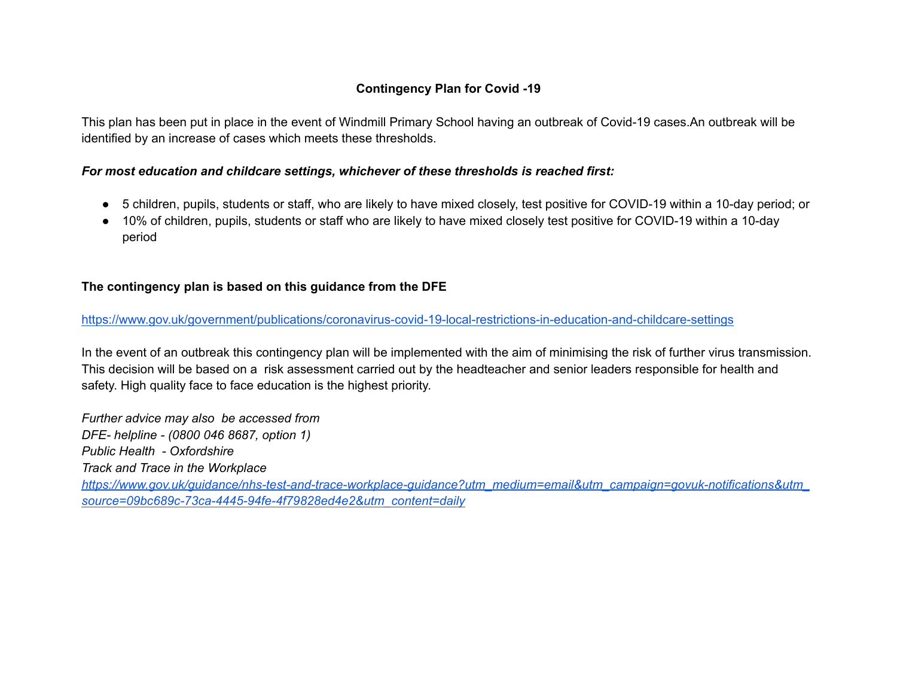## **Contingency Plan for Covid -19**

This plan has been put in place in the event of Windmill Primary School having an outbreak of Covid-19 cases.An outbreak will be identified by an increase of cases which meets these thresholds.

## *For most education and childcare settings, whichever of these thresholds is reached first:*

- 5 children, pupils, students or staff, who are likely to have mixed closely, test positive for COVID-19 within a 10-day period; or
- 10% of children, pupils, students or staff who are likely to have mixed closely test positive for COVID-19 within a 10-day period

## **The contingency plan is based on this guidance from the DFE**

<https://www.gov.uk/government/publications/coronavirus-covid-19-local-restrictions-in-education-and-childcare-settings>

In the event of an outbreak this contingency plan will be implemented with the aim of minimising the risk of further virus transmission. This decision will be based on a risk assessment carried out by the headteacher and senior leaders responsible for health and safety. High quality face to face education is the highest priority.

*Further advice may also be accessed from DFE- helpline - (0800 046 8687, option 1) Public Health - Oxfordshire Track and Trace in the Workplace [https://www.gov.uk/guidance/nhs-test-and-trace-workplace-guidance?utm\\_medium=email&utm\\_campaign=govuk-notifications&utm\\_](https://www.gov.uk/guidance/nhs-test-and-trace-workplace-guidance?utm_medium=email&utm_campaign=govuk-notifications&utm_source=09bc689c-73ca-4445-94fe-4f79828ed4e2&utm_content=daily) [source=09bc689c-73ca-4445-94fe-4f79828ed4e2&utm\\_content=daily](https://www.gov.uk/guidance/nhs-test-and-trace-workplace-guidance?utm_medium=email&utm_campaign=govuk-notifications&utm_source=09bc689c-73ca-4445-94fe-4f79828ed4e2&utm_content=daily)*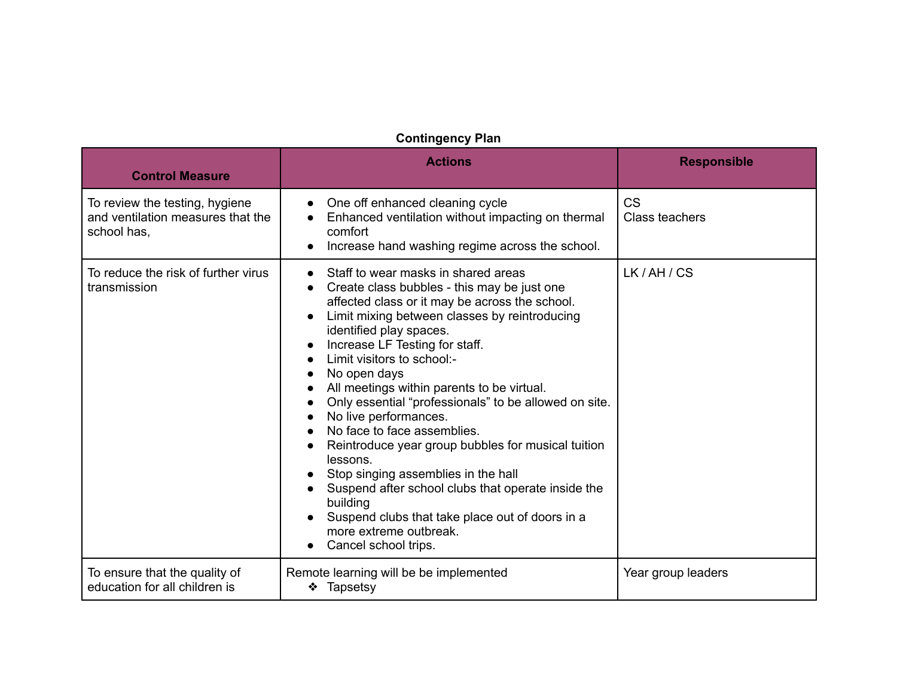## **Contingency Plan**

| <b>Control Measure</b>                                                             | <b>Actions</b>                                                                                                                                                                                                                                                                                                                                                                                                                                                                                                                                                                                                                                                                                                                                  | <b>Responsible</b>          |
|------------------------------------------------------------------------------------|-------------------------------------------------------------------------------------------------------------------------------------------------------------------------------------------------------------------------------------------------------------------------------------------------------------------------------------------------------------------------------------------------------------------------------------------------------------------------------------------------------------------------------------------------------------------------------------------------------------------------------------------------------------------------------------------------------------------------------------------------|-----------------------------|
| To review the testing, hygiene<br>and ventilation measures that the<br>school has, | One off enhanced cleaning cycle<br>Enhanced ventilation without impacting on thermal<br>comfort<br>Increase hand washing regime across the school.                                                                                                                                                                                                                                                                                                                                                                                                                                                                                                                                                                                              | <b>CS</b><br>Class teachers |
| To reduce the risk of further virus<br>transmission                                | Staff to wear masks in shared areas<br>Create class bubbles - this may be just one<br>affected class or it may be across the school.<br>Limit mixing between classes by reintroducing<br>identified play spaces.<br>Increase LF Testing for staff.<br>Limit visitors to school:-<br>No open days<br>All meetings within parents to be virtual.<br>Only essential "professionals" to be allowed on site.<br>No live performances.<br>No face to face assemblies.<br>Reintroduce year group bubbles for musical tuition<br>lessons.<br>Stop singing assemblies in the hall<br>Suspend after school clubs that operate inside the<br>building<br>Suspend clubs that take place out of doors in a<br>more extreme outbreak.<br>Cancel school trips. | LK/AH/CS                    |
| To ensure that the quality of<br>education for all children is                     | Remote learning will be be implemented<br>❖ Tapsetsy                                                                                                                                                                                                                                                                                                                                                                                                                                                                                                                                                                                                                                                                                            | Year group leaders          |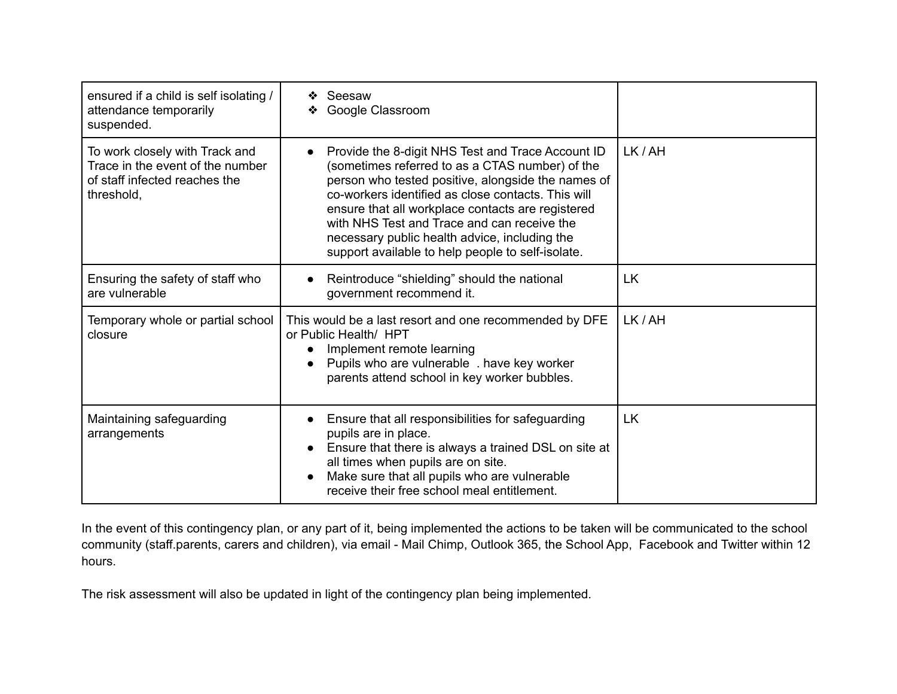| ensured if a child is self isolating /<br>attendance temporarily<br>suspended.                                    | Seesaw<br>❖<br>Google Classroom<br>❖                                                                                                                                                                                                                                                                                                                                                                                                    |           |
|-------------------------------------------------------------------------------------------------------------------|-----------------------------------------------------------------------------------------------------------------------------------------------------------------------------------------------------------------------------------------------------------------------------------------------------------------------------------------------------------------------------------------------------------------------------------------|-----------|
| To work closely with Track and<br>Trace in the event of the number<br>of staff infected reaches the<br>threshold, | Provide the 8-digit NHS Test and Trace Account ID<br>$\bullet$<br>(sometimes referred to as a CTAS number) of the<br>person who tested positive, alongside the names of<br>co-workers identified as close contacts. This will<br>ensure that all workplace contacts are registered<br>with NHS Test and Trace and can receive the<br>necessary public health advice, including the<br>support available to help people to self-isolate. | LK/AH     |
| Ensuring the safety of staff who<br>are vulnerable                                                                | Reintroduce "shielding" should the national<br>government recommend it.                                                                                                                                                                                                                                                                                                                                                                 | <b>LK</b> |
| Temporary whole or partial school<br>closure                                                                      | This would be a last resort and one recommended by DFE<br>or Public Health/ HPT<br>Implement remote learning<br>Pupils who are vulnerable . have key worker<br>parents attend school in key worker bubbles.                                                                                                                                                                                                                             | LK/AH     |
| Maintaining safeguarding<br>arrangements                                                                          | Ensure that all responsibilities for safeguarding<br>$\bullet$<br>pupils are in place.<br>Ensure that there is always a trained DSL on site at<br>all times when pupils are on site.<br>Make sure that all pupils who are vulnerable<br>receive their free school meal entitlement.                                                                                                                                                     | <b>LK</b> |

In the event of this contingency plan, or any part of it, being implemented the actions to be taken will be communicated to the school community (staff.parents, carers and children), via email - Mail Chimp, Outlook 365, the School App, Facebook and Twitter within 12 hours.

The risk assessment will also be updated in light of the contingency plan being implemented.